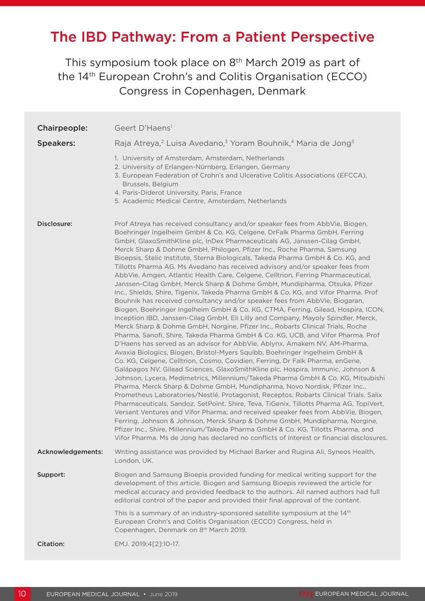# The IBD Pathway: From a Patient Perspective

This symposium took place on 8<sup>th</sup> March 2019 as part of the 14th European Crohn's and Colitis Organisation (ECCO) Congress in Copenhagen, Denmark

| Chairpeople:      | Geert D'Haens <sup>1</sup>                                                                                                                                                                                                                                                                                                                                                                                                                                                                                                                                                                                                                                                                                                                                                                                                                                                                                                                                                                                                                                                                                                                                                                                                                                                                                                                                                                                                                                                                                                                                                                                                                                                                                                                                                                                                                                                                                                                                                                                                                                                                                                                                                                                         |
|-------------------|--------------------------------------------------------------------------------------------------------------------------------------------------------------------------------------------------------------------------------------------------------------------------------------------------------------------------------------------------------------------------------------------------------------------------------------------------------------------------------------------------------------------------------------------------------------------------------------------------------------------------------------------------------------------------------------------------------------------------------------------------------------------------------------------------------------------------------------------------------------------------------------------------------------------------------------------------------------------------------------------------------------------------------------------------------------------------------------------------------------------------------------------------------------------------------------------------------------------------------------------------------------------------------------------------------------------------------------------------------------------------------------------------------------------------------------------------------------------------------------------------------------------------------------------------------------------------------------------------------------------------------------------------------------------------------------------------------------------------------------------------------------------------------------------------------------------------------------------------------------------------------------------------------------------------------------------------------------------------------------------------------------------------------------------------------------------------------------------------------------------------------------------------------------------------------------------------------------------|
| <b>Speakers:</b>  | Raja Atreya, <sup>2</sup> Luisa Avedano, <sup>3</sup> Yoram Bouhnik, <sup>4</sup> Maria de Jong <sup>5</sup>                                                                                                                                                                                                                                                                                                                                                                                                                                                                                                                                                                                                                                                                                                                                                                                                                                                                                                                                                                                                                                                                                                                                                                                                                                                                                                                                                                                                                                                                                                                                                                                                                                                                                                                                                                                                                                                                                                                                                                                                                                                                                                       |
|                   | 1. University of Amsterdam, Amsterdam, Netherlands<br>2. University of Erlangen-Nürnberg, Erlangen, Germany<br>3. European Federation of Crohn's and Ulcerative Colitis Associations (EFCCA),<br>Brussels, Belgium<br>4. Paris-Diderot University, Paris, France<br>5. Academic Medical Centre, Amsterdam, Netherlands                                                                                                                                                                                                                                                                                                                                                                                                                                                                                                                                                                                                                                                                                                                                                                                                                                                                                                                                                                                                                                                                                                                                                                                                                                                                                                                                                                                                                                                                                                                                                                                                                                                                                                                                                                                                                                                                                             |
| Disclosure:       | Prof Atreya has received consultancy and/or speaker fees from AbbVie, Biogen,<br>Boehringer Ingelheim GmbH & Co. KG, Celgene, DrFalk Pharma GmbH, Ferring<br>GmbH, GlaxoSmithKline plc, InDex Pharmaceuticals AG, Janssen-Cilag GmbH,<br>Merck Sharp & Dohme GmbH, Philogen, Pfizer Inc., Roche Pharma, Samsung<br>Bioepsis, Stelic Institute, Sterna Biologicals, Takeda Pharma GmbH & Co. KG, and<br>Tillotts Pharma AG. Ms Avedano has received advisory and/or speaker fees from<br>AbbVie, Amgen, Atlantic Health Care, Celgene, Celltrion, Ferring Pharmaceutical,<br>Janssen-Cilag GmbH, Merck Sharp & Dohme GmbH, Mundipharma, Otsuka, Pfizer<br>Inc., Shields, Shire, Tigenix, Takeda Pharma GmbH & Co. KG, and Vifor Pharma. Prof<br>Bouhnik has received consultancy and/or speaker fees from AbbVie, Biogaran,<br>Biogen, Boehringer Ingelheim GmbH & Co. KG, CTMA, Ferring, Gilead, Hospira, ICON,<br>Inception IBD, Janssen-Cilag GmbH, Eli Lilly and Company, Mayoly Spindler, Merck,<br>Merck Sharp & Dohme GmbH, Norgine, Pfizer Inc., Robarts Clinical Trials, Roche<br>Pharma, Sanofi, Shire, Takeda Pharma GmbH & Co. KG, UCB, and Vifor Pharma. Prof<br>D'Haens has served as an advisor for AbbVie, Ablynx, Amakem NV, AM-Pharma,<br>Avaxia Biologics, Biogen, Bristol-Myers Squibb, Boehringer Ingelheim GmbH &<br>Co. KG, Celgene, Celltrion, Cosmo, Covidien, Ferring, Dr Falk Pharma, enGene,<br>Galápagos NV, Gilead Sciences, GlaxoSmithKline plc, Hospira, Immunic, Johnson &<br>Johnson, Lycera, Medimetrics, Millennium/Takeda Pharma GmbH & Co. KG, Mitsubishi<br>Pharma, Merck Sharp & Dohme GmbH, Mundipharma, Novo Nordisk, Pfizer Inc.,<br>Prometheus Laboratories/Nestlé, Protagonist, Receptos, Robarts Clinical Trials, Salix<br>Pharmaceuticals, Sandoz, SetPoint, Shire, Teva, TiGenix, Tillotts Pharma AG, TopiVert,<br>Versant Ventures and Vifor Pharma; and received speaker fees from AbbVie, Biogen,<br>Ferring, Johnson & Johnson, Merck Sharp & Dohme GmbH, Mundipharma, Norgine,<br>Pfizer Inc., Shire, Millennium/Takeda Pharma GmbH & Co. KG, Tillotts Pharma, and<br>Vifor Pharma. Ms de Jong has declared no conflicts of interest or financial disclosures. |
| Acknowledgements: | Writing assistance was provided by Michael Barker and Rugina Ali, Syneos Health,<br>London, UK.                                                                                                                                                                                                                                                                                                                                                                                                                                                                                                                                                                                                                                                                                                                                                                                                                                                                                                                                                                                                                                                                                                                                                                                                                                                                                                                                                                                                                                                                                                                                                                                                                                                                                                                                                                                                                                                                                                                                                                                                                                                                                                                    |
| Support:          | Biogen and Samsung Bioepis provided funding for medical writing support for the<br>development of this article. Biogen and Samsung Bioepis reviewed the article for<br>medical accuracy and provided feedback to the authors. All named authors had full<br>editorial control of the paper and provided their final approval of the content.                                                                                                                                                                                                                                                                                                                                                                                                                                                                                                                                                                                                                                                                                                                                                                                                                                                                                                                                                                                                                                                                                                                                                                                                                                                                                                                                                                                                                                                                                                                                                                                                                                                                                                                                                                                                                                                                       |
|                   | This is a summary of an industry-sponsored satellite symposium at the 14th<br>European Crohn's and Colitis Organisation (ECCO) Congress, held in<br>Copenhagen, Denmark on 8th March 2019.                                                                                                                                                                                                                                                                                                                                                                                                                                                                                                                                                                                                                                                                                                                                                                                                                                                                                                                                                                                                                                                                                                                                                                                                                                                                                                                                                                                                                                                                                                                                                                                                                                                                                                                                                                                                                                                                                                                                                                                                                         |
| Citation:         | EMJ. 2019;4[2]:10-17.                                                                                                                                                                                                                                                                                                                                                                                                                                                                                                                                                                                                                                                                                                                                                                                                                                                                                                                                                                                                                                                                                                                                                                                                                                                                                                                                                                                                                                                                                                                                                                                                                                                                                                                                                                                                                                                                                                                                                                                                                                                                                                                                                                                              |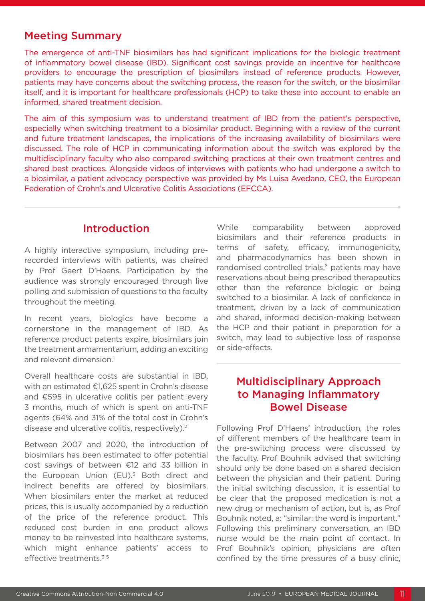#### Meeting Summary

The emergence of anti-TNF biosimilars has had significant implications for the biologic treatment of inflammatory bowel disease (IBD). Significant cost savings provide an incentive for healthcare providers to encourage the prescription of biosimilars instead of reference products. However, patients may have concerns about the switching process, the reason for the switch, or the biosimilar itself, and it is important for healthcare professionals (HCP) to take these into account to enable an informed, shared treatment decision.

The aim of this symposium was to understand treatment of IBD from the patient's perspective, especially when switching treatment to a biosimilar product. Beginning with a review of the current and future treatment landscapes, the implications of the increasing availability of biosimilars were discussed. The role of HCP in communicating information about the switch was explored by the multidisciplinary faculty who also compared switching practices at their own treatment centres and shared best practices. Alongside videos of interviews with patients who had undergone a switch to a biosimilar, a patient advocacy perspective was provided by Ms Luisa Avedano, CEO, the European Federation of Crohn's and Ulcerative Colitis Associations (EFCCA).

#### Introduction

A highly interactive symposium, including prerecorded interviews with patients, was chaired by Prof Geert D'Haens. Participation by the audience was strongly encouraged through live polling and submission of questions to the faculty throughout the meeting.

In recent years, biologics have become a cornerstone in the management of IBD. As reference product patents expire, biosimilars join the treatment armamentarium, adding an exciting and relevant dimension $<sup>1</sup>$ </sup>

Overall healthcare costs are substantial in IBD, with an estimated €1,625 spent in Crohn's disease and €595 in ulcerative colitis per patient every 3 months, much of which is spent on anti-TNF agents (64% and 31% of the total cost in Crohn's disease and ulcerative colitis, respectively).2

Between 2007 and 2020, the introduction of biosimilars has been estimated to offer potential cost savings of between €12 and 33 billion in the European Union  $(EU)^3$  Both direct and indirect benefits are offered by biosimilars. When biosimilars enter the market at reduced prices, this is usually accompanied by a reduction of the price of the reference product. This reduced cost burden in one product allows money to be reinvested into healthcare systems, which might enhance patients' access to effective treatments.<sup>3-5</sup>

While comparability between approved biosimilars and their reference products in terms of safety, efficacy, immunogenicity, and pharmacodynamics has been shown in randomised controlled trials,<sup>6</sup> patients may have reservations about being prescribed therapeutics other than the reference biologic or being switched to a biosimilar. A lack of confidence in treatment, driven by a lack of communication and shared, informed decision-making between the HCP and their patient in preparation for a switch, may lead to subjective loss of response or side-effects.

#### Multidisciplinary Approach to Managing Inflammatory Bowel Disease

Following Prof D'Haens' introduction, the roles of different members of the healthcare team in the pre-switching process were discussed by the faculty. Prof Bouhnik advised that switching should only be done based on a shared decision between the physician and their patient. During the initial switching discussion, it is essential to be clear that the proposed medication is not a new drug or mechanism of action, but is, as Prof Bouhnik noted, a: "similar: the word is important." Following this preliminary conversation, an IBD nurse would be the main point of contact. In Prof Bouhnik's opinion, physicians are often confined by the time pressures of a busy clinic,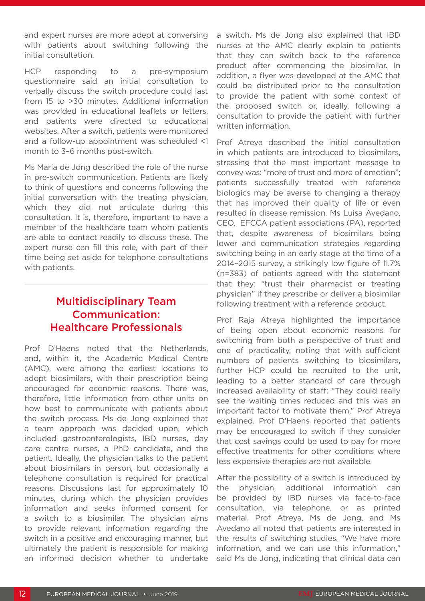and expert nurses are more adept at conversing with patients about switching following the initial consultation.

HCP responding to a pre-symposium questionnaire said an initial consultation to verbally discuss the switch procedure could last from 15 to >30 minutes. Additional information was provided in educational leaflets or letters, and patients were directed to educational websites. After a switch, patients were monitored and a follow-up appointment was scheduled <1 month to 3–6 months post-switch.

Ms Maria de Jong described the role of the nurse in pre-switch communication. Patients are likely to think of questions and concerns following the initial conversation with the treating physician, which they did not articulate during this consultation. It is, therefore, important to have a member of the healthcare team whom patients are able to contact readily to discuss these. The expert nurse can fill this role, with part of their time being set aside for telephone consultations with patients.

# Multidisciplinary Team Communication: Healthcare Professionals

Prof D'Haens noted that the Netherlands, and, within it, the Academic Medical Centre (AMC), were among the earliest locations to adopt biosimilars, with their prescription being encouraged for economic reasons. There was, therefore, little information from other units on how best to communicate with patients about the switch process. Ms de Jong explained that a team approach was decided upon, which included gastroenterologists, IBD nurses, day care centre nurses, a PhD candidate, and the patient. Ideally, the physician talks to the patient about biosimilars in person, but occasionally a telephone consultation is required for practical reasons. Discussions last for approximately 10 minutes, during which the physician provides information and seeks informed consent for a switch to a biosimilar. The physician aims to provide relevant information regarding the switch in a positive and encouraging manner, but ultimately the patient is responsible for making an informed decision whether to undertake

a switch. Ms de Jong also explained that IBD nurses at the AMC clearly explain to patients that they can switch back to the reference product after commencing the biosimilar. In addition, a flyer was developed at the AMC that could be distributed prior to the consultation to provide the patient with some context of the proposed switch or, ideally, following a consultation to provide the patient with further written information.

Prof Atreya described the initial consultation in which patients are introduced to biosimilars, stressing that the most important message to convey was: "more of trust and more of emotion"; patients successfully treated with reference biologics may be averse to changing a therapy that has improved their quality of life or even resulted in disease remission. Ms Luisa Avedano, CEO, EFCCA patient associations (PA), reported that, despite awareness of biosimilars being lower and communication strategies regarding switching being in an early stage at the time of a 2014–2015 survey, a strikingly low figure of 11.7% (n=383) of patients agreed with the statement that they: "trust their pharmacist or treating physician" if they prescribe or deliver a biosimilar following treatment with a reference product.

Prof Raja Atreya highlighted the importance of being open about economic reasons for switching from both a perspective of trust and one of practicality, noting that with sufficient numbers of patients switching to biosimilars, further HCP could be recruited to the unit, leading to a better standard of care through increased availability of staff: "They could really see the waiting times reduced and this was an important factor to motivate them," Prof Atreya explained. Prof D'Haens reported that patients may be encouraged to switch if they consider that cost savings could be used to pay for more effective treatments for other conditions where less expensive therapies are not available.

After the possibility of a switch is introduced by the physician, additional information can be provided by IBD nurses via face-to-face consultation, via telephone, or as printed material. Prof Atreya, Ms de Jong, and Ms Avedano all noted that patients are interested in the results of switching studies. "We have more information, and we can use this information," said Ms de Jong, indicating that clinical data can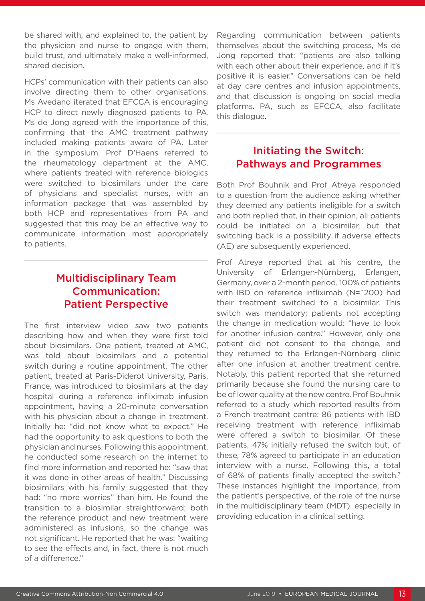be shared with, and explained to, the patient by the physician and nurse to engage with them, build trust, and ultimately make a well-informed, shared decision.

HCPs' communication with their patients can also involve directing them to other organisations. Ms Avedano iterated that EFCCA is encouraging HCP to direct newly diagnosed patients to PA. Ms de Jong agreed with the importance of this, confirming that the AMC treatment pathway included making patients aware of PA. Later in the symposium, Prof D'Haens referred to the rheumatology department at the AMC, where patients treated with reference biologics were switched to biosimilars under the care of physicians and specialist nurses, with an information package that was assembled by both HCP and representatives from PA and suggested that this may be an effective way to communicate information most appropriately to patients.

## Multidisciplinary Team Communication: Patient Perspective

The first interview video saw two patients describing how and when they were first told about biosimilars. One patient, treated at AMC, was told about biosimilars and a potential switch during a routine appointment. The other patient, treated at Paris-Diderot University, Paris, France, was introduced to biosimilars at the day hospital during a reference infliximab infusion appointment, having a 20-minute conversation with his physician about a change in treatment. Initially he: "did not know what to expect." He had the opportunity to ask questions to both the physician and nurses. Following this appointment, he conducted some research on the internet to find more information and reported he: "saw that it was done in other areas of health." Discussing biosimilars with his family suggested that they had: "no more worries" than him. He found the transition to a biosimilar straightforward; both the reference product and new treatment were administered as infusions, so the change was not significant. He reported that he was: "waiting to see the effects and, in fact, there is not much of a difference."

Regarding communication between patients themselves about the switching process, Ms de Jong reported that: "patients are also talking with each other about their experience, and if it's positive it is easier." Conversations can be held at day care centres and infusion appointments, and that discussion is ongoing on social media platforms. PA, such as EFCCA, also facilitate this dialogue.

#### Initiating the Switch: Pathways and Programmes

Both Prof Bouhnik and Prof Atreya responded to a question from the audience asking whether they deemed any patients ineligible for a switch and both replied that, in their opinion, all patients could be initiated on a biosimilar, but that switching back is a possibility if adverse effects (AE) are subsequently experienced.

Prof Atreya reported that at his centre, the University of Erlangen-Nürnberg, Erlangen, Germany, over a 2-month period, 100% of patients with IBD on reference infliximab (N=˜200) had their treatment switched to a biosimilar. This switch was mandatory; patients not accepting the change in medication would: "have to look for another infusion centre." However, only one patient did not consent to the change, and they returned to the Erlangen-Nürnberg clinic after one infusion at another treatment centre. Notably, this patient reported that she returned primarily because she found the nursing care to be of lower quality at the new centre. Prof Bouhnik referred to a study which reported results from a French treatment centre: 86 patients with IBD receiving treatment with reference infliximab were offered a switch to biosimilar. Of these patients, 47% initially refused the switch but, of these, 78% agreed to participate in an education interview with a nurse. Following this, a total of 68% of patients finally accepted the switch.<sup>7</sup> These instances highlight the importance, from the patient's perspective, of the role of the nurse in the multidisciplinary team (MDT), especially in providing education in a clinical setting.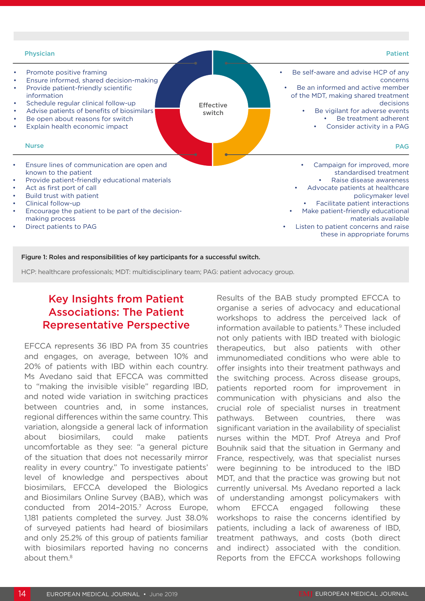

Figure 1: Roles and responsibilities of key participants for a successful switch.

HCP: healthcare professionals; MDT: multidisciplinary team; PAG: patient advocacy group.

# Key Insights from Patient Associations: The Patient Representative Perspective

EFCCA represents 36 IBD PA from 35 countries and engages, on average, between 10% and 20% of patients with IBD within each country. Ms Avedano said that EFCCA was committed to "making the invisible visible" regarding IBD, and noted wide variation in switching practices between countries and, in some instances, regional differences within the same country. This variation, alongside a general lack of information about biosimilars, could make patients uncomfortable as they see: "a general picture of the situation that does not necessarily mirror reality in every country." To investigate patients' level of knowledge and perspectives about biosimilars, EFCCA developed the Biologics and Biosimilars Online Survey (BAB), which was conducted from 2014-2015.<sup>7</sup> Across Europe, 1,181 patients completed the survey. Just 38.0% of surveyed patients had heard of biosimilars and only 25.2% of this group of patients familiar with biosimilars reported having no concerns about them.<sup>8</sup>

Results of the BAB study prompted EFCCA to organise a series of advocacy and educational workshops to address the perceived lack of information available to patients.<sup>9</sup> These included not only patients with IBD treated with biologic therapeutics, but also patients with other immunomediated conditions who were able to offer insights into their treatment pathways and the switching process. Across disease groups, patients reported room for improvement in communication with physicians and also the crucial role of specialist nurses in treatment pathways. Between countries, there was significant variation in the availability of specialist nurses within the MDT. Prof Atreya and Prof Bouhnik said that the situation in Germany and France, respectively, was that specialist nurses were beginning to be introduced to the IBD MDT, and that the practice was growing but not currently universal. Ms Avedano reported a lack of understanding amongst policymakers with whom EFCCA engaged following these workshops to raise the concerns identified by patients, including a lack of awareness of IBD, treatment pathways, and costs (both direct and indirect) associated with the condition. Reports from the EFCCA workshops following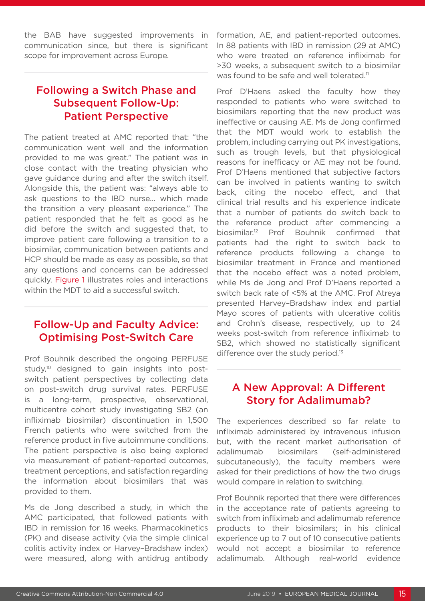the BAB have suggested improvements in communication since, but there is significant scope for improvement across Europe.

# Following a Switch Phase and Subsequent Follow-Up: Patient Perspective

The patient treated at AMC reported that: "the communication went well and the information provided to me was great." The patient was in close contact with the treating physician who gave guidance during and after the switch itself. Alongside this, the patient was: "always able to ask questions to the IBD nurse… which made the transition a very pleasant experience." The patient responded that he felt as good as he did before the switch and suggested that, to improve patient care following a transition to a biosimilar, communication between patients and HCP should be made as easy as possible, so that any questions and concerns can be addressed quickly. Figure 1 illustrates roles and interactions within the MDT to aid a successful switch.

## Follow-Up and Faculty Advice: Optimising Post-Switch Care

Prof Bouhnik described the ongoing PERFUSE study,<sup>10</sup> designed to gain insights into postswitch patient perspectives by collecting data on post-switch drug survival rates. PERFUSE is a long-term, prospective, observational, multicentre cohort study investigating SB2 (an infliximab biosimilar) discontinuation in 1,500 French patients who were switched from the reference product in five autoimmune conditions. The patient perspective is also being explored via measurement of patient-reported outcomes, treatment perceptions, and satisfaction regarding the information about biosimilars that was provided to them.

Ms de Jong described a study, in which the AMC participated, that followed patients with IBD in remission for 16 weeks. Pharmacokinetics (PK) and disease activity (via the simple clinical colitis activity index or Harvey–Bradshaw index) were measured, along with antidrug antibody formation, AE, and patient-reported outcomes. In 88 patients with IBD in remission (29 at AMC) who were treated on reference infliximab for >30 weeks, a subsequent switch to a biosimilar was found to be safe and well tolerated.<sup>11</sup>

Prof D'Haens asked the faculty how they responded to patients who were switched to biosimilars reporting that the new product was ineffective or causing AE. Ms de Jong confirmed that the MDT would work to establish the problem, including carrying out PK investigations, such as trough levels, but that physiological reasons for inefficacy or AE may not be found. Prof D'Haens mentioned that subjective factors can be involved in patients wanting to switch back, citing the nocebo effect, and that clinical trial results and his experience indicate that a number of patients do switch back to the reference product after commencing a biosimilar.12 Prof Bouhnik confirmed that patients had the right to switch back to reference products following a change to biosimilar treatment in France and mentioned that the nocebo effect was a noted problem, while Ms de Jong and Prof D'Haens reported a switch back rate of <5% at the AMC. Prof Atreya presented Harvey–Bradshaw index and partial Mayo scores of patients with ulcerative colitis and Crohn's disease, respectively, up to 24 weeks post-switch from reference infliximab to SB2, which showed no statistically significant difference over the study period.<sup>13</sup>

#### A New Approval: A Different Story for Adalimumab?

The experiences described so far relate to infliximab administered by intravenous infusion but, with the recent market authorisation of adalimumab biosimilars (self-administered subcutaneously), the faculty members were asked for their predictions of how the two drugs would compare in relation to switching.

Prof Bouhnik reported that there were differences in the acceptance rate of patients agreeing to switch from infliximab and adalimumab reference products to their biosimilars; in his clinical experience up to 7 out of 10 consecutive patients would not accept a biosimilar to reference adalimumab. Although real-world evidence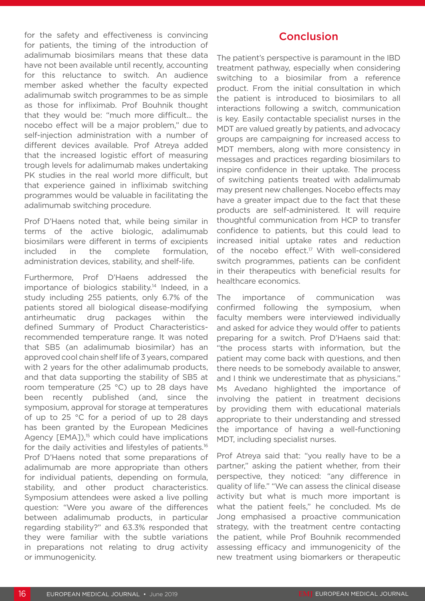for the safety and effectiveness is convincing for patients, the timing of the introduction of adalimumab biosimilars means that these data have not been available until recently, accounting for this reluctance to switch. An audience member asked whether the faculty expected adalimumab switch programmes to be as simple as those for infliximab. Prof Bouhnik thought that they would be: "much more difficult... the nocebo effect will be a major problem," due to self-injection administration with a number of different devices available. Prof Atreya added that the increased logistic effort of measuring trough levels for adalimumab makes undertaking PK studies in the real world more difficult, but that experience gained in infliximab switching programmes would be valuable in facilitating the adalimumab switching procedure.

Prof D'Haens noted that, while being similar in terms of the active biologic, adalimumab biosimilars were different in terms of excipients included in the complete formulation, administration devices, stability, and shelf-life.

Furthermore, Prof D'Haens addressed the importance of biologics stability.14 Indeed, in a study including 255 patients, only 6.7% of the patients stored all biological disease-modifying antirheumatic drug packages within the defined Summary of Product Characteristicsrecommended temperature range. It was noted that SB5 (an adalimumab biosimilar) has an approved cool chain shelf life of 3 years, compared with 2 years for the other adalimumab products, and that data supporting the stability of SB5 at room temperature (25 °C) up to 28 days have been recently published (and, since the symposium, approval for storage at temperatures of up to 25 °C for a period of up to 28 days has been granted by the European Medicines Agency  $[EMA]$ ,<sup>15</sup> which could have implications for the daily activities and lifestyles of patients.<sup>16</sup> Prof D'Haens noted that some preparations of adalimumab are more appropriate than others for individual patients, depending on formula, stability, and other product characteristics. Symposium attendees were asked a live polling question: "Were you aware of the differences between adalimumab products, in particular regarding stability?" and 63.3% responded that they were familiar with the subtle variations in preparations not relating to drug activity or immunogenicity.

#### Conclusion

The patient's perspective is paramount in the IBD treatment pathway, especially when considering switching to a biosimilar from a reference product. From the initial consultation in which the patient is introduced to biosimilars to all interactions following a switch, communication is key. Easily contactable specialist nurses in the MDT are valued greatly by patients, and advocacy groups are campaigning for increased access to MDT members, along with more consistency in messages and practices regarding biosimilars to inspire confidence in their uptake. The process of switching patients treated with adalimumab may present new challenges. Nocebo effects may have a greater impact due to the fact that these products are self-administered. It will require thoughtful communication from HCP to transfer confidence to patients, but this could lead to increased initial uptake rates and reduction of the nocebo effect.<sup>17</sup> With well-considered switch programmes, patients can be confident in their therapeutics with beneficial results for healthcare economics.

The importance of communication was confirmed following the symposium, when faculty members were interviewed individually and asked for advice they would offer to patients preparing for a switch. Prof D'Haens said that: "the process starts with information, but the patient may come back with questions, and then there needs to be somebody available to answer, and I think we underestimate that as physicians." Ms Avedano highlighted the importance of involving the patient in treatment decisions by providing them with educational materials appropriate to their understanding and stressed the importance of having a well-functioning MDT, including specialist nurses.

Prof Atreya said that: "you really have to be a partner," asking the patient whether, from their perspective, they noticed: "any difference in quality of life." "We can assess the clinical disease activity but what is much more important is what the patient feels," he concluded. Ms de Jong emphasised a proactive communication strategy, with the treatment centre contacting the patient, while Prof Bouhnik recommended assessing efficacy and immunogenicity of the new treatment using biomarkers or therapeutic